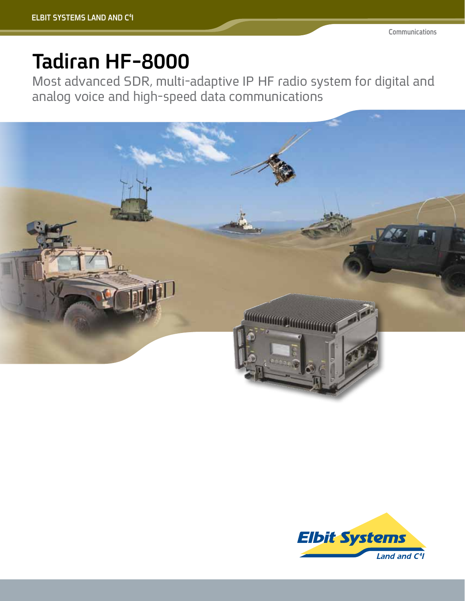## **Tadiran HF-8000**

Most advanced SDR, multi-adaptive IP HF radio system for digital and analog voice and high-speed data communications



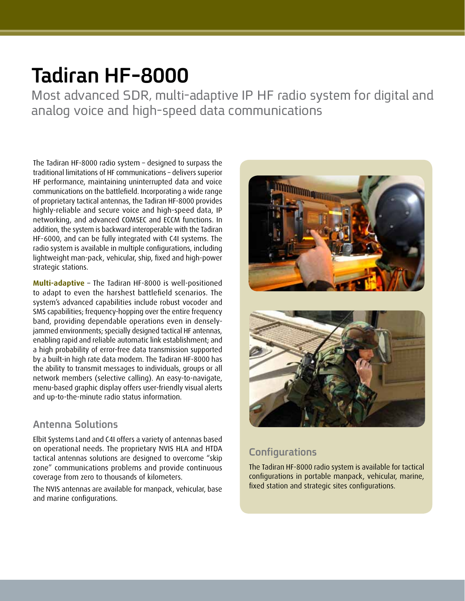## **Tadiran HF-8000**

Most advanced SDR, multi-adaptive IP HF radio system for digital and analog voice and high-speed data communications

The Tadiran HF-8000 radio system - designed to surpass the traditional limitations of HF communications - delivers superior HF performance, maintaining uninterrupted data and voice communications on the battlefield. Incorporating a wide range of proprietary tactical antennas, the Tadiran HF-8000 provides highly-reliable and secure voice and high-speed data, IP networking, and advanced COMSEC and ECCM functions. In addition, the system is backward interoperable with the Tadiran HF-6000, and can be fully integrated with C4I systems. The radio system is available in multiple configurations, including lightweight man-pack, vehicular, ship, fixed and high-power strategic stations.

Multi-adaptive - The Tadiran HF-8000 is well-positioned to adapt to even the harshest battlefield scenarios. The system's advanced capabilities include robust vocoder and SMS capabilities; frequency-hopping over the entire frequency jammed environments: specially designed tactical HF antennas. band, providing dependable operations even in denselyenabling rapid and reliable automatic link establishment; and a high probability of error-free data transmission supported by a built-in high rate data modem. The Tadiran HF-8000 has the ability to transmit messages to individuals, groups or all network members (selective calling). An easy-to-navigate, menu-based graphic display offers user-friendly visual alerts and up-to-the-minute radio status information.

#### **Solutions Antenna**

Elbit Systems Land and C4I offers a variety of antennas based on operational needs. The proprietary NVIS HLA and HTDA tactical antennas solutions are designed to overcome "skip zone" communications problems and provide continuous coverage from zero to thousands of kilometers.

The NVIS antennas are available for manpack, vehicular, base and marine configurations.



### **Configurations**

The Tadiran HF-8000 radio system is available for tactical configurations in portable manpack, vehicular, marine, fixed station and strategic sites configurations.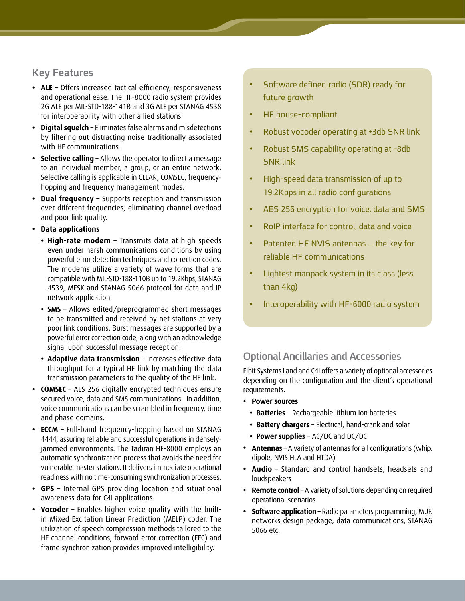#### **Key Features**

- ALE Offers increased tactical efficiency, responsiveness and operational ease. The HF-8000 radio system provides 2G ALE per MIL-STD-188-141B and 3G ALE per STANAG 4538 for interoperability with other allied stations.
- **Digital squelch** Eliminates false alarms and misdetections by filtering out distracting noise traditionally associated with HF communications.
- **Selective calling** Allows the operator to direct a message to an individual member, a group, or an entire network. hopping and frequency management modes. Selective calling is applicable in CLEAR, COMSEC, frequency-
- **Dual frequency -** Supports reception and transmission over different frequencies, eliminating channel overload and poor link quality.
- **•** Data applications
	- High-rate modem Transmits data at high speeds even under harsh communications conditions by using powerful error detection techniques and correction codes. The modems utilize a variety of wave forms that are compatible with MIL-STD-188-110B up to 19.2Kbps, STANAG 4539, MFSK and STANAG 5066 protocol for data and IP network application.
	- **SMS** Allows edited/preprogrammed short messages to be transmitted and received by net stations at very poor link conditions. Burst messages are supported by a powerful error correction code, along with an acknowledge signal upon successful message reception.
	- **Adaptive data transmission** Increases effective data throughput for a typical HF link by matching the data transmission parameters to the quality of the HF link.
- **COMSEC** AES 256 digitally encrypted techniques ensure secured voice, data and SMS communications. In addition, voice communications can be scrambled in frequency, time and phase domains.
- **ECCM** Full-band frequency-hopping based on STANAG jammed environments. The Tadiran HF-8000 employs an 4444, assuring reliable and successful operations in denselyautomatic synchronization process that avoids the need for vulnerable master stations. It delivers immediate operational readiness with no time-consuming synchronization processes.
- **GPS** Internal GPS providing location and situational awareness data for C4I applications.
- in Mixed Excitation Linear Prediction (MELP) coder. The • Vocoder - Enables higher voice quality with the builtutilization of speech compression methods tailored to the HF channel conditions, forward error correction (FEC) and frame synchronization provides improved intelligibility.
- Software defined radio (SDR) ready for future growth
- HF house-compliant
- Robust vocoder operating at +3db SNR link
- Robust SMS capability operating at -8db **SNR** link
- High-speed data transmission of up to 19.2Kbps in all radio configurations
- AES 256 encryption for voice, data and SMS
- RoIP interface for control, data and voice
- Patented HF NVIS antennas  $-$  the key for reliable HF communications
- Lightest manpack system in its class (less  $than 4kg)$
- Interoperability with HF-6000 radio system

### **Ancillaries and Accessories**

Elbit Systems Land and C4I offers a variety of optional accessories depending on the configuration and the client's operational .requirements

- **•** Power sources
	- **Batteries** Rechargeable lithium Ion batteries
	- Battery chargers Electrical, hand-crank and solar
	- **Power supplies** AC/DC and DC/DC
- Antennas A variety of antennas for all configurations (whip, dipole, NVIS HLA and HTDA)
- Audio Standard and control handsets, headsets and loudspeakers
- **Remote control** A variety of solutions depending on required operational scenarios
- **Software application** Radio parameters programming, MUF, networks design package, data communications, STANAG 5066 etc.